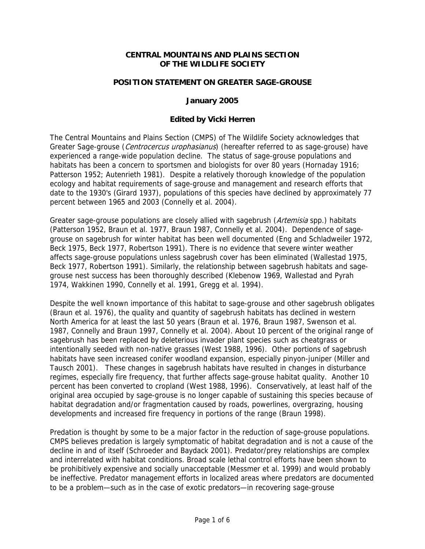## **CENTRAL MOUNTAINS AND PLAINS SECTION OF THE WILDLIFE SOCIETY**

## **POSITION STATEMENT ON GREATER SAGE-GROUSE**

#### **January 2005**

## **Edited by Vicki Herren**

The Central Mountains and Plains Section (CMPS) of The Wildlife Society acknowledges that Greater Sage-grouse (*Centrocercus urophasianus*) (hereafter referred to as sage-grouse) have experienced a range-wide population decline. The status of sage-grouse populations and habitats has been a concern to sportsmen and biologists for over 80 years (Hornaday 1916; Patterson 1952; Autenrieth 1981). Despite a relatively thorough knowledge of the population ecology and habitat requirements of sage-grouse and management and research efforts that date to the 1930's (Girard 1937), populations of this species have declined by approximately 77 percent between 1965 and 2003 (Connelly et al. 2004).

Greater sage-grouse populations are closely allied with sagebrush (Artemisia spp.) habitats (Patterson 1952, Braun et al. 1977, Braun 1987, Connelly et al. 2004). Dependence of sagegrouse on sagebrush for winter habitat has been well documented (Eng and Schladweiler 1972, Beck 1975, Beck 1977, Robertson 1991). There is no evidence that severe winter weather affects sage-grouse populations unless sagebrush cover has been eliminated (Wallestad 1975, Beck 1977, Robertson 1991). Similarly, the relationship between sagebrush habitats and sagegrouse nest success has been thoroughly described (Klebenow 1969, Wallestad and Pyrah 1974, Wakkinen 1990, Connelly et al. 1991, Gregg et al. 1994).

Despite the well known importance of this habitat to sage-grouse and other sagebrush obligates (Braun et al. 1976), the quality and quantity of sagebrush habitats has declined in western North America for at least the last 50 years (Braun et al. 1976, Braun 1987, Swenson et al. 1987, Connelly and Braun 1997, Connelly et al. 2004). About 10 percent of the original range of sagebrush has been replaced by deleterious invader plant species such as cheatgrass or intentionally seeded with non-native grasses (West 1988, 1996). Other portions of sagebrush habitats have seen increased conifer woodland expansion, especially pinyon-juniper (Miller and Tausch 2001). These changes in sagebrush habitats have resulted in changes in disturbance regimes, especially fire frequency, that further affects sage-grouse habitat quality. Another 10 percent has been converted to cropland (West 1988, 1996). Conservatively, at least half of the original area occupied by sage-grouse is no longer capable of sustaining this species because of habitat degradation and/or fragmentation caused by roads, powerlines, overgrazing, housing developments and increased fire frequency in portions of the range (Braun 1998).

Predation is thought by some to be a major factor in the reduction of sage-grouse populations. CMPS believes predation is largely symptomatic of habitat degradation and is not a cause of the decline in and of itself (Schroeder and Baydack 2001). Predator/prey relationships are complex and interrelated with habitat conditions. Broad scale lethal control efforts have been shown to be prohibitively expensive and socially unacceptable (Messmer et al. 1999) and would probably be ineffective. Predator management efforts in localized areas where predators are documented to be a problem—such as in the case of exotic predators—in recovering sage-grouse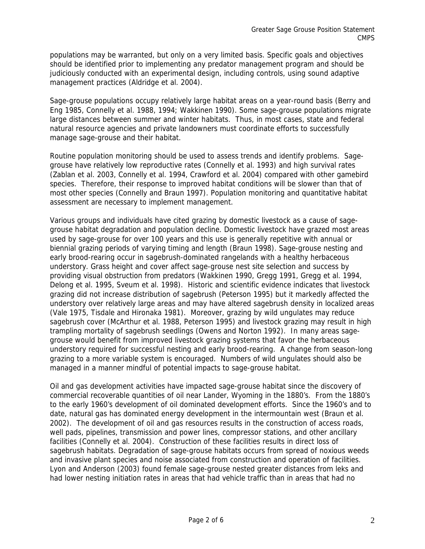populations may be warranted, but only on a very limited basis. Specific goals and objectives should be identified prior to implementing any predator management program and should be judiciously conducted with an experimental design, including controls, using sound adaptive management practices (Aldridge et al. 2004).

Sage-grouse populations occupy relatively large habitat areas on a year-round basis (Berry and Eng 1985, Connelly et al. 1988, 1994; Wakkinen 1990). Some sage-grouse populations migrate large distances between summer and winter habitats. Thus, in most cases, state and federal natural resource agencies and private landowners must coordinate efforts to successfully manage sage-grouse and their habitat.

Routine population monitoring should be used to assess trends and identify problems. Sagegrouse have relatively low reproductive rates (Connelly et al. 1993) and high survival rates (Zablan et al. 2003, Connelly et al. 1994, Crawford et al. 2004) compared with other gamebird species. Therefore, their response to improved habitat conditions will be slower than that of most other species (Connelly and Braun 1997). Population monitoring and quantitative habitat assessment are necessary to implement management.

Various groups and individuals have cited grazing by domestic livestock as a cause of sagegrouse habitat degradation and population decline. Domestic livestock have grazed most areas used by sage-grouse for over 100 years and this use is generally repetitive with annual or biennial grazing periods of varying timing and length (Braun 1998). Sage-grouse nesting and early brood-rearing occur in sagebrush-dominated rangelands with a healthy herbaceous understory. Grass height and cover affect sage-grouse nest site selection and success by providing visual obstruction from predators (Wakkinen 1990, Gregg 1991, Gregg et al. 1994, Delong et al. 1995, Sveum et al. 1998). Historic and scientific evidence indicates that livestock grazing did not increase distribution of sagebrush (Peterson 1995) but it markedly affected the understory over relatively large areas and may have altered sagebrush density in localized areas (Vale 1975, Tisdale and Hironaka 1981). Moreover, grazing by wild ungulates may reduce sagebrush cover (McArthur et al. 1988, Peterson 1995) and livestock grazing may result in high trampling mortality of sagebrush seedlings (Owens and Norton 1992). In many areas sagegrouse would benefit from improved livestock grazing systems that favor the herbaceous understory required for successful nesting and early brood-rearing. A change from season-long grazing to a more variable system is encouraged. Numbers of wild ungulates should also be managed in a manner mindful of potential impacts to sage-grouse habitat.

Oil and gas development activities have impacted sage-grouse habitat since the discovery of commercial recoverable quantities of oil near Lander, Wyoming in the 1880's. From the 1880's to the early 1960's development of oil dominated development efforts. Since the 1960's and to date, natural gas has dominated energy development in the intermountain west (Braun et al. 2002). The development of oil and gas resources results in the construction of access roads, well pads, pipelines, transmission and power lines, compressor stations, and other ancillary facilities (Connelly et al. 2004). Construction of these facilities results in direct loss of sagebrush habitats. Degradation of sage-grouse habitats occurs from spread of noxious weeds and invasive plant species and noise associated from construction and operation of facilities. Lyon and Anderson (2003) found female sage-grouse nested greater distances from leks and had lower nesting initiation rates in areas that had vehicle traffic than in areas that had no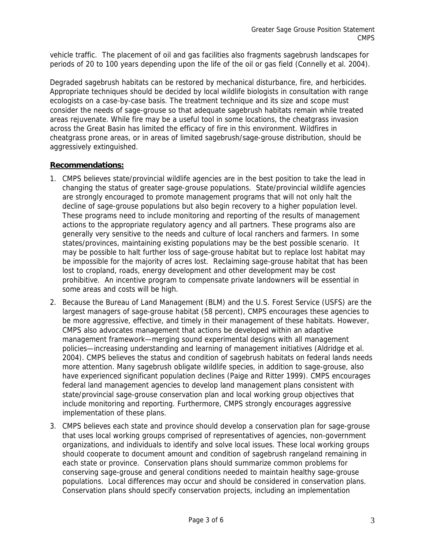vehicle traffic. The placement of oil and gas facilities also fragments sagebrush landscapes for periods of 20 to 100 years depending upon the life of the oil or gas field (Connelly et al. 2004).

Degraded sagebrush habitats can be restored by mechanical disturbance, fire, and herbicides. Appropriate techniques should be decided by local wildlife biologists in consultation with range ecologists on a case-by-case basis. The treatment technique and its size and scope must consider the needs of sage-grouse so that adequate sagebrush habitats remain while treated areas rejuvenate. While fire may be a useful tool in some locations, the cheatgrass invasion across the Great Basin has limited the efficacy of fire in this environment. Wildfires in cheatgrass prone areas, or in areas of limited sagebrush/sage-grouse distribution, should be aggressively extinguished.

# **Recommendations:**

- 1. CMPS believes state/provincial wildlife agencies are in the best position to take the lead in changing the status of greater sage-grouse populations. State/provincial wildlife agencies are strongly encouraged to promote management programs that will not only halt the decline of sage-grouse populations but also begin recovery to a higher population level. These programs need to include monitoring and reporting of the results of management actions to the appropriate regulatory agency and all partners. These programs also are generally very sensitive to the needs and culture of local ranchers and farmers. In some states/provinces, maintaining existing populations may be the best possible scenario. It may be possible to halt further loss of sage-grouse habitat but to replace lost habitat may be impossible for the majority of acres lost. Reclaiming sage-grouse habitat that has been lost to cropland, roads, energy development and other development may be cost prohibitive. An incentive program to compensate private landowners will be essential in some areas and costs will be high.
- 2. Because the Bureau of Land Management (BLM) and the U.S. Forest Service (USFS) are the largest managers of sage-grouse habitat (58 percent), CMPS encourages these agencies to be more aggressive, effective, and timely in their management of these habitats. However, CMPS also advocates management that actions be developed within an adaptive management framework—merging sound experimental designs with all management policies—increasing understanding and learning of management initiatives (Aldridge et al. 2004). CMPS believes the status and condition of sagebrush habitats on federal lands needs more attention. Many sagebrush obligate wildlife species, in addition to sage-grouse, also have experienced significant population declines (Paige and Ritter 1999). CMPS encourages federal land management agencies to develop land management plans consistent with state/provincial sage-grouse conservation plan and local working group objectives that include monitoring and reporting. Furthermore, CMPS strongly encourages aggressive implementation of these plans.
- 3. CMPS believes each state and province should develop a conservation plan for sage-grouse that uses local working groups comprised of representatives of agencies, non-government organizations, and individuals to identify and solve local issues. These local working groups should cooperate to document amount and condition of sagebrush rangeland remaining in each state or province. Conservation plans should summarize common problems for conserving sage-grouse and general conditions needed to maintain healthy sage-grouse populations. Local differences may occur and should be considered in conservation plans. Conservation plans should specify conservation projects, including an implementation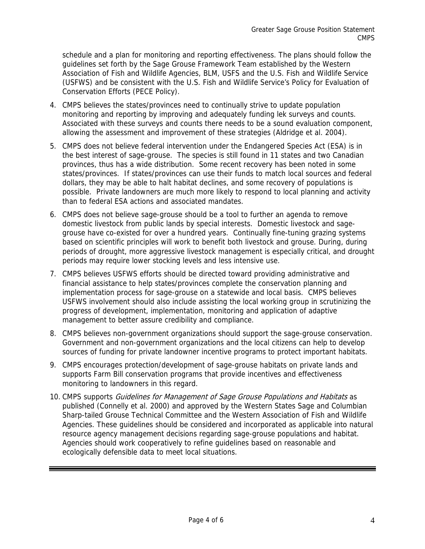schedule and a plan for monitoring and reporting effectiveness. The plans should follow the guidelines set forth by the Sage Grouse Framework Team established by the Western Association of Fish and Wildlife Agencies, BLM, USFS and the U.S. Fish and Wildlife Service (USFWS) and be consistent with the U.S. Fish and Wildlife Service's Policy for Evaluation of Conservation Efforts (PECE Policy).

- 4. CMPS believes the states/provinces need to continually strive to update population monitoring and reporting by improving and adequately funding lek surveys and counts. Associated with these surveys and counts there needs to be a sound evaluation component, allowing the assessment and improvement of these strategies (Aldridge et al. 2004).
- 5. CMPS does not believe federal intervention under the Endangered Species Act (ESA) is in the best interest of sage-grouse. The species is still found in 11 states and two Canadian provinces, thus has a wide distribution. Some recent recovery has been noted in some states/provinces. If states/provinces can use their funds to match local sources and federal dollars, they may be able to halt habitat declines, and some recovery of populations is possible. Private landowners are much more likely to respond to local planning and activity than to federal ESA actions and associated mandates.
- 6. CMPS does not believe sage-grouse should be a tool to further an agenda to remove domestic livestock from public lands by special interests. Domestic livestock and sagegrouse have co-existed for over a hundred years. Continually fine-tuning grazing systems based on scientific principles will work to benefit both livestock and grouse. During, during periods of drought, more aggressive livestock management is especially critical, and drought periods may require lower stocking levels and less intensive use.
- 7. CMPS believes USFWS efforts should be directed toward providing administrative and financial assistance to help states/provinces complete the conservation planning and implementation process for sage-grouse on a statewide and local basis. CMPS believes USFWS involvement should also include assisting the local working group in scrutinizing the progress of development, implementation, monitoring and application of adaptive management to better assure credibility and compliance.
- 8. CMPS believes non-government organizations should support the sage-grouse conservation. Government and non-government organizations and the local citizens can help to develop sources of funding for private landowner incentive programs to protect important habitats.
- 9. CMPS encourages protection/development of sage-grouse habitats on private lands and supports Farm Bill conservation programs that provide incentives and effectiveness monitoring to landowners in this regard.
- 10. CMPS supports Guidelines for Management of Sage Grouse Populations and Habitats as published (Connelly et al. 2000) and approved by the Western States Sage and Columbian Sharp-tailed Grouse Technical Committee and the Western Association of Fish and Wildlife Agencies. These guidelines should be considered and incorporated as applicable into natural resource agency management decisions regarding sage-grouse populations and habitat. Agencies should work cooperatively to refine guidelines based on reasonable and ecologically defensible data to meet local situations.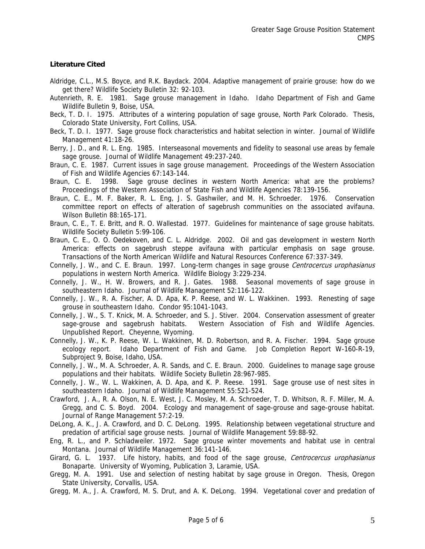#### **Literature Cited**

- Aldridge, C.L., M.S. Boyce, and R.K. Baydack. 2004. Adaptive management of prairie grouse: how do we get there? Wildlife Society Bulletin 32: 92-103.
- Autenrieth, R. E. 1981. Sage grouse management in Idaho. Idaho Department of Fish and Game Wildlife Bulletin 9, Boise, USA.
- Beck, T. D. I. 1975. Attributes of a wintering population of sage grouse, North Park Colorado. Thesis, Colorado State University, Fort Collins, USA.
- Beck, T. D. I. 1977. Sage grouse flock characteristics and habitat selection in winter. Journal of Wildlife Management 41:18-26.
- Berry, J. D., and R. L. Eng. 1985. Interseasonal movements and fidelity to seasonal use areas by female sage grouse. Journal of Wildlife Management 49:237-240.
- Braun, C. E. 1987. Current issues in sage grouse management. Proceedings of the Western Association of Fish and Wildlife Agencies 67:143-144.
- Braun, C. E. 1998. Sage grouse declines in western North America: what are the problems? Proceedings of the Western Association of State Fish and Wildlife Agencies 78:139-156.
- Braun, C. E., M. F. Baker, R. L. Eng, J. S. Gashwiler, and M. H. Schroeder. 1976. Conservation committee report on effects of alteration of sagebrush communities on the associated avifauna. Wilson Bulletin 88:165-171.
- Braun, C. E., T. E. Britt, and R. O. Wallestad. 1977. Guidelines for maintenance of sage grouse habitats. Wildlife Society Bulletin 5:99-106.
- Braun, C. E., O. O. Oedekoven, and C. L. Aldridge. 2002. Oil and gas development in western North America: effects on sagebrush steppe avifauna with particular emphasis on sage grouse. Transactions of the North American Wildlife and Natural Resources Conference 67:337-349.
- Connelly, J. W., and C. E. Braun. 1997. Long-term changes in sage grouse Centrocercus urophasianus populations in western North America. Wildlife Biology 3:229-234.
- Connelly, J. W., H. W. Browers, and R. J. Gates. 1988. Seasonal movements of sage grouse in southeastern Idaho. Journal of Wildlife Management 52:116-122.
- Connelly, J. W., R. A. Fischer, A. D. Apa, K. P. Reese, and W. L. Wakkinen. 1993. Renesting of sage grouse in southeastern Idaho. Condor 95:1041-1043.
- Connelly, J. W., S. T. Knick, M. A. Schroeder, and S. J. Stiver. 2004. Conservation assessment of greater sage-grouse and sagebrush habitats. Western Association of Fish and Wildlife Agencies. Unpublished Report. Cheyenne, Wyoming.
- Connelly, J. W., K. P. Reese, W. L. Wakkinen, M. D. Robertson, and R. A. Fischer. 1994. Sage grouse ecology report. Idaho Department of Fish and Game. Job Completion Report W-160-R-19, Subproject 9, Boise, Idaho, USA.
- Connelly, J. W., M. A. Schroeder, A. R. Sands, and C. E. Braun. 2000. Guidelines to manage sage grouse populations and their habitats. Wildlife Society Bulletin 28:967-985.
- Connelly, J. W., W. L. Wakkinen, A. D. Apa, and K. P. Reese. 1991. Sage grouse use of nest sites in southeastern Idaho. Journal of Wildlife Management 55:521-524.
- Crawford, J. A., R. A. Olson, N. E. West, J. C. Mosley, M. A. Schroeder, T. D. Whitson, R. F. Miller, M. A. Gregg, and C. S. Boyd. 2004. Ecology and management of sage-grouse and sage-grouse habitat. Journal of Range Management 57:2-19.
- DeLong, A. K., J. A. Crawford, and D. C. DeLong. 1995. Relationship between vegetational structure and predation of artificial sage grouse nests. Journal of Wildlife Management 59:88-92.
- Eng, R. L., and P. Schladweiler. 1972. Sage grouse winter movements and habitat use in central Montana. Journal of Wildlife Management 36:141-146.
- Girard, G. L. 1937. Life history, habits, and food of the sage grouse, Centrocercus urophasianus Bonaparte. University of Wyoming, Publication 3, Laramie, USA.
- Gregg, M. A. 1991. Use and selection of nesting habitat by sage grouse in Oregon. Thesis, Oregon State University, Corvallis, USA.
- Gregg, M. A., J. A. Crawford, M. S. Drut, and A. K. DeLong. 1994. Vegetational cover and predation of